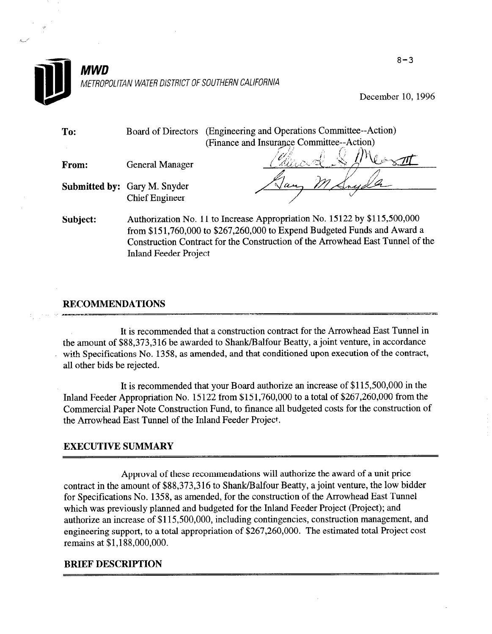

#### MWD METROPOLITAN WATER DISTRICT OF SOUTHERN CALIFORNIA

December 10, 1996

| To:      | <b>Board of Directors</b>                                                                                                                                                                                                                                               | (Engineering and Operations Committee--Action) |  |  |
|----------|-------------------------------------------------------------------------------------------------------------------------------------------------------------------------------------------------------------------------------------------------------------------------|------------------------------------------------|--|--|
|          |                                                                                                                                                                                                                                                                         | (Finance and Insurance Committee--Action)      |  |  |
| From:    | <b>General Manager</b>                                                                                                                                                                                                                                                  |                                                |  |  |
|          |                                                                                                                                                                                                                                                                         |                                                |  |  |
|          | Submitted by: Gary M. Snyder                                                                                                                                                                                                                                            |                                                |  |  |
|          | <b>Chief Engineer</b>                                                                                                                                                                                                                                                   |                                                |  |  |
| Subject: | Authorization No. 11 to Increase Appropriation No. 15122 by \$115,500,000<br>from \$151,760,000 to \$267,260,000 to Expend Budgeted Funds and Award a<br>Construction Contract for the Construction of the Arrowhead East Tunnel of the<br><b>Inland Feeder Project</b> |                                                |  |  |

#### RECOMMENDATIONS zero di zero di zero della provincia di serve di serve di serve di serve di serve di serve di serve di serve d

It is recommended that a construction contract for the Arrowhead East Tunnel in the amount of \$88,373,316 be awarded to Shank/Balfour Beatty, a joint venture, in accordance with Specifications No. 1358, as amended, and that conditioned upon execution of the contract, all other bids be rejected.

It is recommended that your Board authorize an increase of \$115,500,000 in the Inland Feeder Appropriation No. 15 122 from \$15 1,760,OOO to a total of \$267,260,000 from the Commercial Paper Note Construction Fund, to finance all budgeted costs for the construction of the Arrowhead East Tunnel of the Inland Feeder Project.

#### EXECUTIVE SUMMARY

Approval of these recommendations will authorize the award of a unit price contract in the amount of \$88,373,316 to Shank/Balfour Beatty, a joint venture, the low bidder for Specifications No. 1358, as amended, for the construction of the Arrowhead East Tunnel which was previously planned and budgeted for the Inland Feeder Project (Project); and authorize an increase of \$115,500,000, including contingencies, construction management, and engineering support, to a total appropriation of \$267,260,000. The estimated total Project cost remains at \$1,188,000,000.

#### BRIEF DESCRIPTION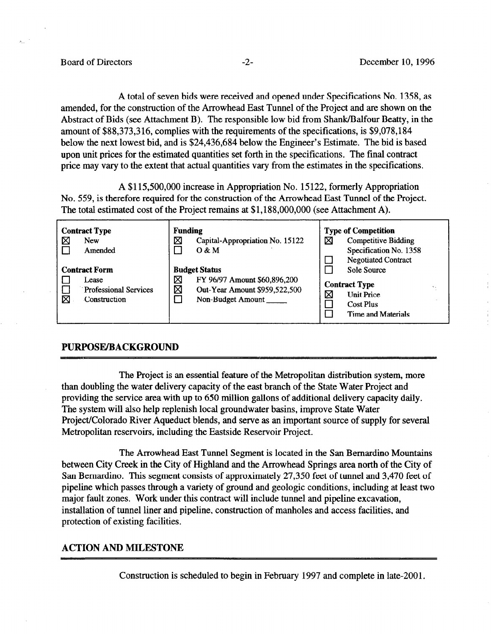A total of seven bids were received and opened under Specifications No. 1358, as amended, for the construction of the Arrowhead East Tunnel of the Project and are shown on the Abstract of Bids (see Attachment B). The responsible low bid from Shank/Balfour Beatty, in the amount of \$88,373,316, complies with the requirements of the specifications, is \$9,078,184 below the next lowest bid, and is \$24,436,684 below the Engineer's Estimate. The bid is based upon unit prices for the estimated quantities set forth in the specifications. The final contract price may vary to the extent that actual quantities vary from the estimates in the specifications.

A \$115,500,000 increase in Appropriation No. 15122, formerly Appropriation No. 559, is therefore required for the construction of the Arrowhead East Tunnel of the Project. The total estimated cost of the Project remains at \$1,188,000,000 (see Attachment A).

| <b>Contract Type</b><br>⊠<br><b>New</b><br>Amended                                 | <b>Funding</b><br>図<br>Capital-Appropriation No. 15122<br>$O$ & M                                                    | <b>Type of Competition</b><br>⊠<br><b>Competitive Bidding</b><br>Specification No. 1358<br><b>Negotiated Contract</b><br>$\Box$ |
|------------------------------------------------------------------------------------|----------------------------------------------------------------------------------------------------------------------|---------------------------------------------------------------------------------------------------------------------------------|
| <b>Contract Form</b><br>Lease<br><b>Professional Services</b><br>⊠<br>Construction | <b>Budget Status</b><br>Χ<br>FY 96/97 Amount \$60,896,200<br>⊠<br>Out-Year Amount \$959,522,500<br>Non-Budget Amount | Sole Source<br><b>Contract Type</b><br>Χ<br><b>Unit Price</b><br><b>Cost Plus</b><br>Time and Materials                         |

#### PURPOSE/BACKGROUND

The Project is an essential feature of the Metropolitan distribution system, more than doubling the water delivery capacity of the east branch of the State Water Project and providing the service area with up to 650 million gallons of additional delivery capacity daily. The system will also help replenish local groundwater basins, improve State Water Project/Colorado River Aqueduct blends, and serve as an important source of supply for several Metropolitan reservoirs, including the Eastside Reservoir Project.

The Arrowhead East Tunnel Segment is located in the San Bernardino Mountains between City Creek in the City of Highland and the Arrowhead Springs area north of the City of San Bernardino. This segment consists of approximately 27,350 feet of tunnel and 3,470 feet of pipeline which passes through a variety of ground and geologic conditions, including at least two major fault zones. Work under this contract will include tunnel and pipeline excavation, installation of tunnel liner and pipeline, construction of manholes and access facilities, and protection of existing facilities.

#### ACTION AND MILESTONE

Construction is scheduled to begin in February 1997 and complete in late-2001.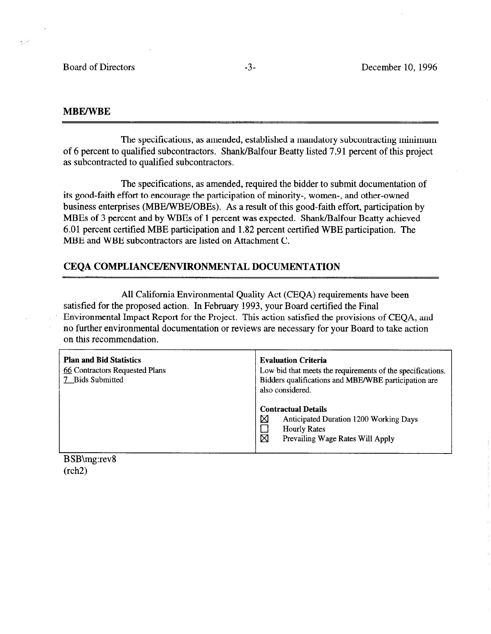#### MBE/WBE

The specifications, as amended, established a mandatory subcontracting minimum of 6 percent to qualified subcontractors. Shank/Balfour Beatty listed 7.91 percent of this project as subcontracted to qualified subcontractors.

The specifications, as amended, required the bidder to submit documentation of its good-faith effort to encourage the participation of minority-, women-, and other-owned business enterprises (MBE/WBE/OBEs). As a result of this good-faith effort, participation by MBEs of 3 percent and by WBEs of 1 percent was expected. Shank/Balfour Beatty achieved 6.01 percent certified MBE participation and 1.82 percent certified WBE participation. The MBE and WBE subcontractors are listed on Attachment C.

#### CEQA COMPLIANCE/ENVIRONMENTAL DOCUMENTATION

All California Environmental Quality Act (CEQA) requirements have been satisfied for the proposed action. In February 1993, your Board certified the Final Environmental Impact Report for the Project. This action satisfied the provisions of CEQA, and no further environmental documentation or reviews are necessary for your Board to take action on this recommendation.

| <b>Plan and Bid Statistics</b><br>66 Contractors Requested Plans<br><b>Bids Submitted</b> | <b>Evaluation Criteria</b><br>Low bid that meets the requirements of the specifications.<br>Bidders qualifications and MBE/WBE participation are<br>also considered. |  |  |
|-------------------------------------------------------------------------------------------|----------------------------------------------------------------------------------------------------------------------------------------------------------------------|--|--|
|                                                                                           | <b>Contractual Details</b><br>X<br>Anticipated Duration 1200 Working Days<br><b>Hourly Rates</b><br>⊠<br>Prevailing Wage Rates Will Apply                            |  |  |

B SB\mg:rev8 (rch2)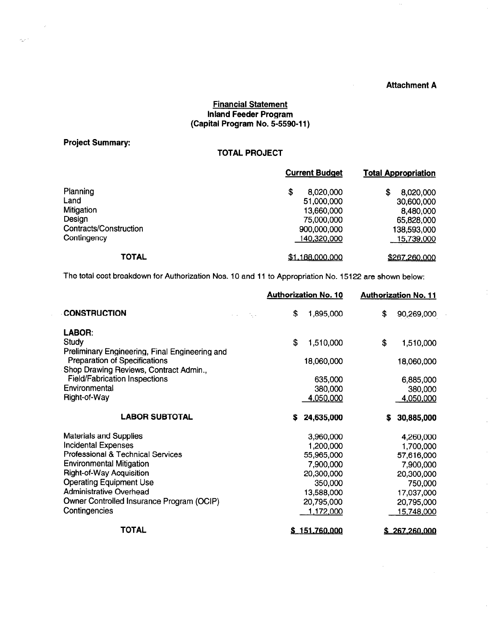#### Attachment A

 $\bar{z}$ 

 $\mathcal{L}$ 

#### Financial Statement Inland Feeder Program (Capital Program No. 5-5590-l 1)

#### Project Summary:

 $\frac{1}{\sqrt{2}}$ 

 $\sigma_{\rm eff}^{(1)}$  .

#### TOTAL PROJECT

|                        | <b>Current Budget</b> | <b>Total Appropriation</b> |  |
|------------------------|-----------------------|----------------------------|--|
| Planning               | \$<br>8,020,000       | 8,020,000<br>S             |  |
| Land                   | 51,000,000            | 30,600,000                 |  |
| Mitigation             | 13,660,000            | 8,480,000                  |  |
| Design                 | 75,000,000            | 65,828,000                 |  |
| Contracts/Construction | 900,000,000           | 138,593,000                |  |
| Contingency            | 140,320,000           | <u>15,739,000</u>          |  |
| <b>TOTAL</b>           | \$1,188,000,000       | \$267,260,000              |  |

The total cost breakdown for Authorization Nos. 10 and 11 to Appropriation No. 15122 are shown below:

|                                                                                | <b>Authorization No. 10</b>                |    |               | <b>Authorization No. 11</b> |                      |
|--------------------------------------------------------------------------------|--------------------------------------------|----|---------------|-----------------------------|----------------------|
| <b>CONSTRUCTION</b>                                                            | $\sim 10^{11}$ km s<br>$\alpha = \alpha$ . | \$ | 1,895,000     | \$                          | 90,269,000           |
| LABOR:                                                                         |                                            |    |               |                             |                      |
| <b>Study</b>                                                                   |                                            | \$ | 1,510,000     | \$                          | 1,510,000            |
| Preliminary Engineering, Final Engineering and                                 |                                            |    |               |                             |                      |
| Preparation of Specifications                                                  |                                            |    | 18,060,000    |                             | 18,060,000           |
| Shop Drawing Reviews, Contract Admin.,<br><b>Field/Fabrication Inspections</b> |                                            |    | 635,000       |                             |                      |
| Environmental                                                                  |                                            |    | 380,000       |                             | 6,885,000<br>380,000 |
| Right-of-Way                                                                   |                                            |    | 4,050,000     |                             | 4,050,000            |
|                                                                                |                                            |    |               |                             |                      |
| <b>LABOR SUBTOTAL</b>                                                          |                                            | S  | 24,635,000    | s                           | 30,885,000           |
| <b>Materials and Supplies</b>                                                  |                                            |    | 3,960,000     |                             | 4,260,000            |
| <b>Incidental Expenses</b>                                                     |                                            |    | 1,200,000     |                             | 1,700,000            |
| Professional & Technical Services                                              |                                            |    | 55,965,000    |                             | 57,616,000           |
| <b>Environmental Mitigation</b>                                                |                                            |    | 7,900,000     |                             | 7,900,000            |
| <b>Right-of-Way Acquisition</b>                                                |                                            |    | 20,300,000    |                             | 20,300,000           |
| <b>Operating Equipment Use</b>                                                 |                                            |    | 350,000       |                             | 750,000              |
| <b>Administrative Overhead</b>                                                 |                                            |    | 13,588,000    |                             | 17,037,000           |
| Owner Controlled Insurance Program (OCIP)                                      |                                            |    | 20,795,000    |                             | 20,795,000           |
| Contingencies                                                                  |                                            |    | 1,172,000     |                             | 15,748,000           |
| TOTAL                                                                          |                                            |    | \$151,760,000 |                             | \$267,260,000        |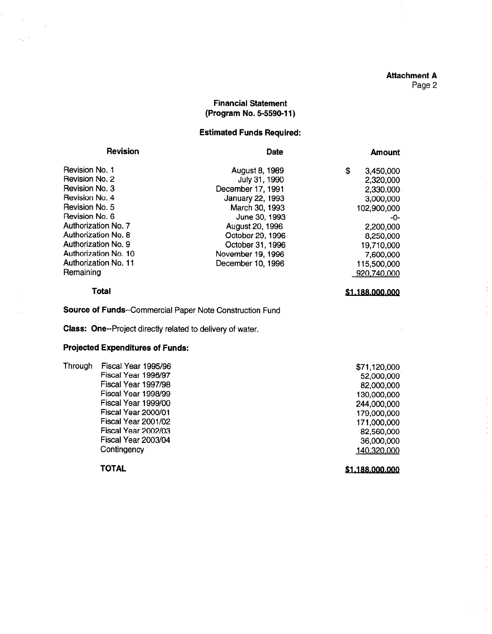# Attachment A

 $\bar{z}$ 

 $\mathcal{L}$ 

 $\bar{z}$ 

 $\bar{z}$ 

Page 2

#### Financial Statement (Program No. 5-5590-l 1)

#### Estimated Funds Required:

| <b>Revision</b>             | <b>Date</b>       | <b>Amount</b>   |
|-----------------------------|-------------------|-----------------|
| Revision No. 1              | August 8, 1989    | \$<br>3,450,000 |
| Revision No. 2              | July 31, 1990     | 2,320,000       |
| Revision No. 3              | December 17, 1991 | 2,330.000       |
| Revision No. 4              | January 22, 1993  | 3,000,000       |
| Revision No. 5              | March 30, 1993    | 102,900,000     |
| Revision No. 6              | June 30, 1993     | -0-             |
| Authorization No. 7         | August 20, 1996   | 2,200,000       |
| Authorization No. 8         | October 29, 1996  | 8,250,000       |
| Authorization No. 9         | October 31, 1996  | 19,710,000      |
| Authorization No. 10        | November 19, 1996 | 7,600,000       |
| <b>Authorization No. 11</b> | December 10, 1996 | 115,500,000     |
| Remaining                   |                   | 920,740,000     |
| Total                       |                   | \$1.188.000.000 |

#### Total

 $\sim$   $\bar{z}$ 

المداري

Source of Funds--Commercial Paper Note Construction Fund

Class: One--Project directly related to delivery of water.

#### Projected Expenditures of Funds:

| Through | Fiscal Year 1995/96 | \$71,120,000    |
|---------|---------------------|-----------------|
|         | Fiscal Year 1996/97 | 52,000,000      |
|         | Fiscal Year 1997/98 | 82,000,000      |
|         | Fiscal Year 1998/99 | 130,000,000     |
|         | Fiscal Year 1999/00 | 244,000,000     |
|         | Fiscal Year 2000/01 | 179,000,000     |
|         | Fiscal Year 2001/02 | 171,000,000     |
|         | Fiscal Year 2002/03 | 82,560,000      |
|         | Fiscal Year 2003/04 | 36,000,000      |
|         | Contingency         | 140,320,000     |
|         | TOTAL               | \$1.188.000.000 |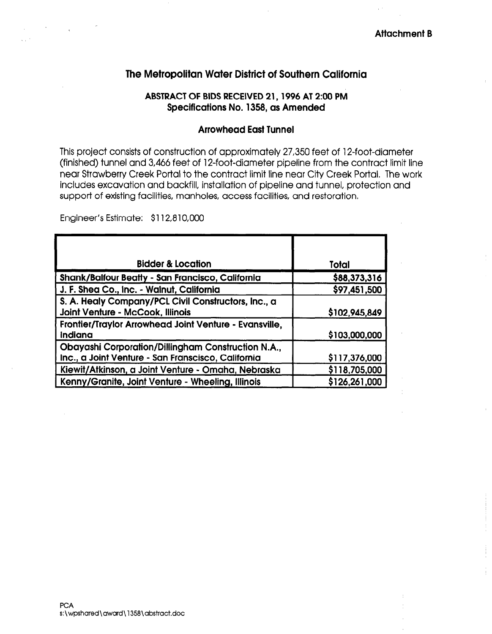## The Metropolitan Water District of Southern California

#### ABSTRACT OF BIDS RECEIVED 21,1996 AT 2:00 PM Specifications No. 1358, as Amended

#### Arrowhead East Tunnel

This project consists of construction of approximately 27,350 feet of 12-foot-diameter (finished) tunnel and 3,466 feet of 12-foot-diameter pipeline from the contract limit line near Strawberry Creek Portal to the contract limit line near City Creek Portal. The work includes excavation and backfill, installation of pipeline and tunnel, protection and support of existing facilities, manholes, access facilities, and restoration,

Engineer's Estimate: \$112,810,000

| <b>Bidder &amp; Location</b>                                                                             | Total         |
|----------------------------------------------------------------------------------------------------------|---------------|
| Shank/Balfour Beatty - San Francisco, California                                                         | \$88,373,316  |
| J. F. Shea Co., Inc. - Walnut, California                                                                | \$97,451,500  |
| S. A. Healy Company/PCL Civil Constructors, Inc., a<br>Joint Venture - McCook, Illinois                  | \$102,945,849 |
| Frontier/Traylor Arrowhead Joint Venture - Evansville,<br>Indiana                                        | \$103,000,000 |
| Obayashi Corporation/Dillingham Construction N.A.,<br>Inc., a Joint Venture - San Franscisco, California | \$117,376,000 |
| Kiewit/Atkinson, a Joint Venture - Omaha, Nebraska                                                       | \$118,705,000 |
| Kenny/Granite, Joint Venture - Wheeling, Illinois                                                        | \$126,261,000 |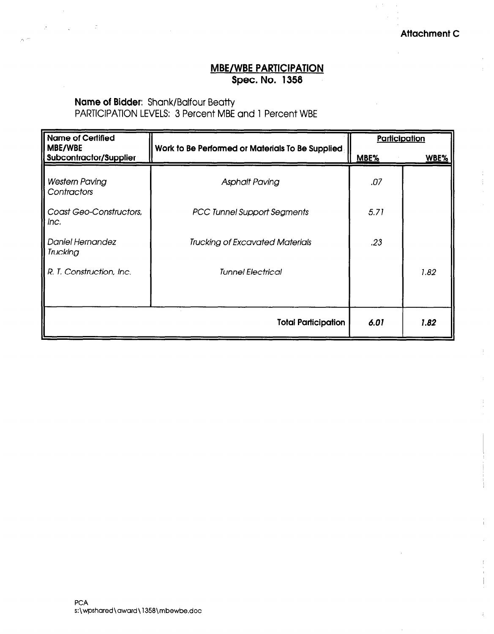### MBE/WBE PARTICIPATION Spec. No. 1358

## Name of Bidder: Shank/Balfour Beatty

 $\gamma$  .

PARTICIPATION LEVELS: 3 Percent MBE and 1 Percent WBE

| <b>Name of Certified</b>                 |                                                  | Participation |             |
|------------------------------------------|--------------------------------------------------|---------------|-------------|
| MBE/WBE<br><b>Subcontractor/Supplier</b> | Work to Be Performed or Materials To Be Supplied | MBE%          | <b>WBE%</b> |
| <b>Western Paving</b><br>Contractors     | <b>Asphalt Paving</b>                            | .07           |             |
| Coast Geo-Constructors,<br>Inc.          | <b>PCC Tunnel Support Segments</b>               | 5.71          |             |
| <b>Daniel Hernandez</b><br>Trucking      | <b>Trucking of Excavated Materials</b>           | .23           |             |
| R. T. Construction, Inc.                 | <b>Tunnel Electrical</b>                         |               | 1.82        |
|                                          |                                                  |               |             |
|                                          | <b>Total Participation</b>                       | 6.01          | 1.82        |